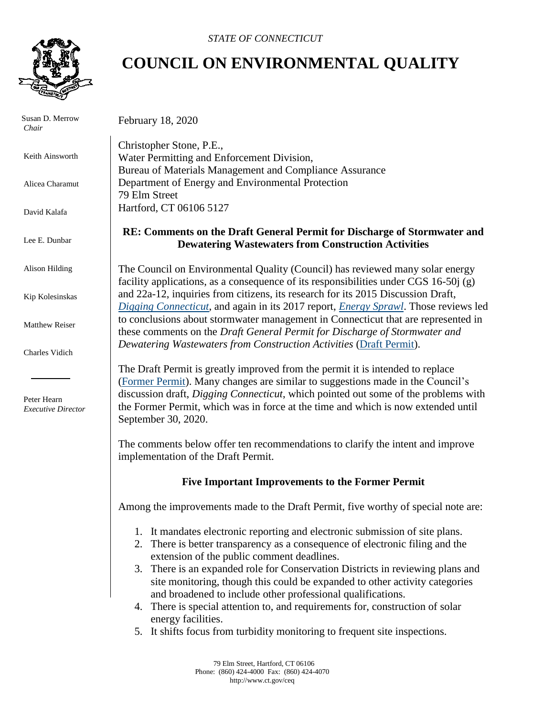

Susan D. Merrow *Chair*

Keith Ainsworth

Alicea Charamut

David Kalafa

Lee E. Dunbar

Alison Hilding

Kip Kolesinskas

Matthew Reiser

Charles Vidich

 Peter Hearn *Executive Director*

## **COUNCIL ON ENVIRONMENTAL QUALITY**

February 18, 2020

Christopher Stone, P.E., Water Permitting and Enforcement Division, Bureau of Materials Management and Compliance Assurance Department of Energy and Environmental Protection 79 Elm Street Hartford, CT 06106 5127

## **RE: Comments on the Draft General Permit for Discharge of Stormwater and Dewatering Wastewaters from Construction Activities**

The Council on Environmental Quality (Council) has reviewed many solar energy facility applications, as a consequence of its responsibilities under CGS 16-50j (g) and 22a-12, inquiries from citizens, its research for its 2015 Discussion Draft, *[Digging Connecticut](https://portal.ct.gov/-/media/CEQ/Stormwater-and-Earthmoving-Report----Discussion-Draft-12-02-15.pdf?la=en)*, and again in its 2017 report, *[Energy Sprawl](https://www.ct.gov/ceq/lib/ceq/Energy_Sprawl_in_Connecticut.pdf)*. Those reviews led to conclusions about stormwater management in Connecticut that are represented in these comments on the *Draft General Permit for Discharge of Stormwater and Dewatering Wastewaters from Construction Activities* [\(Draft Permit\)](https://www.ct.gov/deep/lib/deep/public_notice_attachments/general_permits/2019december27constructiongpwithmodificationsclean-draftpermit.pdf).

The Draft Permit is greatly improved from the permit it is intended to replace [\(Former Permit\)](https://www.ct.gov/deep/lib/deep/Permits_and_Licenses/Water_Discharge_General_Permits/storm_const_gp.pdf). Many changes are similar to suggestions made in the Council's discussion draft, *Digging Connecticut*, which pointed out some of the problems with the Former Permit, which was in force at the time and which is now extended until September 30, 2020.

The comments below offer ten recommendations to clarify the intent and improve implementation of the Draft Permit.

## **Five Important Improvements to the Former Permit**

Among the improvements made to the Draft Permit, five worthy of special note are:

- 1. It mandates electronic reporting and electronic submission of site plans.
- 2. There is better transparency as a consequence of electronic filing and the extension of the public comment deadlines.
- 3. There is an expanded role for Conservation Districts in reviewing plans and site monitoring, though this could be expanded to other activity categories and broadened to include other professional qualifications.
- 4. There is special attention to, and requirements for, construction of solar energy facilities.
- 5. It shifts focus from turbidity monitoring to frequent site inspections.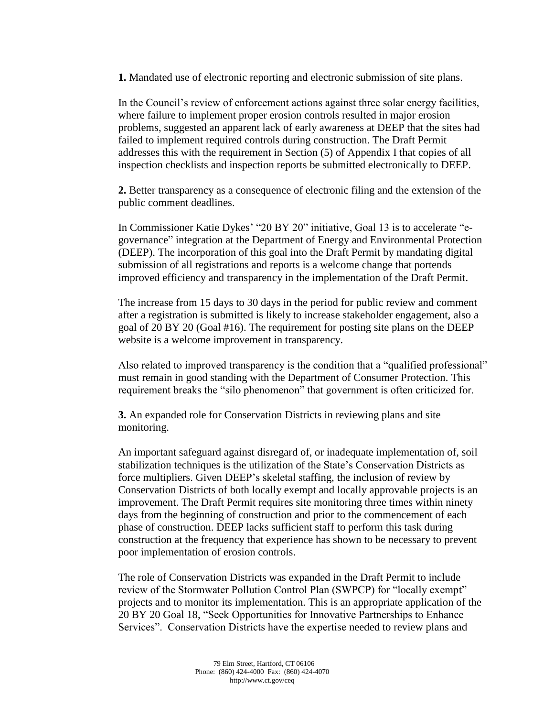**1.** Mandated use of electronic reporting and electronic submission of site plans.

In the Council's review of enforcement actions against three solar energy facilities, where failure to implement proper erosion controls resulted in major erosion problems, suggested an apparent lack of early awareness at DEEP that the sites had failed to implement required controls during construction. The Draft Permit addresses this with the requirement in Section (5) of Appendix I that copies of all inspection checklists and inspection reports be submitted electronically to DEEP.

**2.** Better transparency as a consequence of electronic filing and the extension of the public comment deadlines.

In Commissioner Katie Dykes' "20 BY 20" initiative, Goal 13 is to accelerate "egovernance" integration at the Department of Energy and Environmental Protection (DEEP). The incorporation of this goal into the Draft Permit by mandating digital submission of all registrations and reports is a welcome change that portends improved efficiency and transparency in the implementation of the Draft Permit.

The increase from 15 days to 30 days in the period for public review and comment after a registration is submitted is likely to increase stakeholder engagement, also a goal of 20 BY 20 (Goal #16). The requirement for posting site plans on the DEEP website is a welcome improvement in transparency.

Also related to improved transparency is the condition that a "qualified professional" must remain in good standing with the Department of Consumer Protection. This requirement breaks the "silo phenomenon" that government is often criticized for.

**3.** An expanded role for Conservation Districts in reviewing plans and site monitoring.

An important safeguard against disregard of, or inadequate implementation of, soil stabilization techniques is the utilization of the State's Conservation Districts as force multipliers. Given DEEP's skeletal staffing, the inclusion of review by Conservation Districts of both locally exempt and locally approvable projects is an improvement. The Draft Permit requires site monitoring three times within ninety days from the beginning of construction and prior to the commencement of each phase of construction. DEEP lacks sufficient staff to perform this task during construction at the frequency that experience has shown to be necessary to prevent poor implementation of erosion controls.

The role of Conservation Districts was expanded in the Draft Permit to include review of the Stormwater Pollution Control Plan (SWPCP) for "locally exempt" projects and to monitor its implementation. This is an appropriate application of the 20 BY 20 Goal 18, "Seek Opportunities for Innovative Partnerships to Enhance Services". Conservation Districts have the expertise needed to review plans and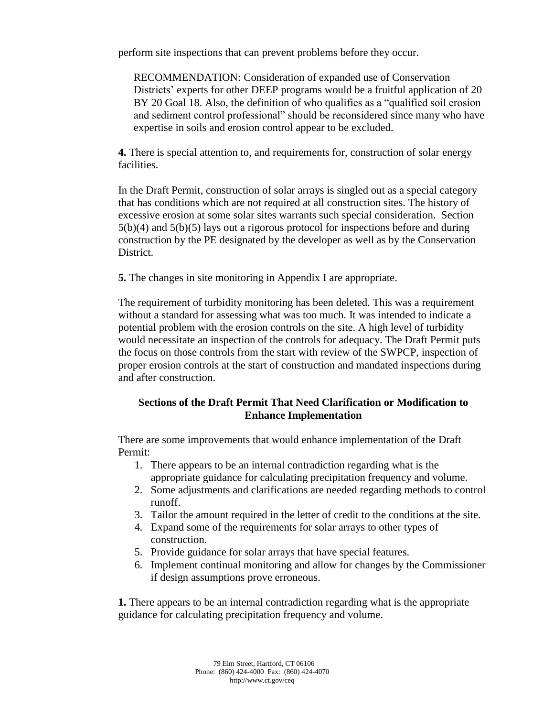perform site inspections that can prevent problems before they occur.

RECOMMENDATION: Consideration of expanded use of Conservation Districts' experts for other DEEP programs would be a fruitful application of 20 BY 20 Goal 18. Also, the definition of who qualifies as a "qualified soil erosion and sediment control professional" should be reconsidered since many who have expertise in soils and erosion control appear to be excluded.

**4.** There is special attention to, and requirements for, construction of solar energy facilities.

In the Draft Permit, construction of solar arrays is singled out as a special category that has conditions which are not required at all construction sites. The history of excessive erosion at some solar sites warrants such special consideration. Section  $5(b)(4)$  and  $5(b)(5)$  lays out a rigorous protocol for inspections before and during construction by the PE designated by the developer as well as by the Conservation District.

**5.** The changes in site monitoring in Appendix I are appropriate.

The requirement of turbidity monitoring has been deleted. This was a requirement without a standard for assessing what was too much. It was intended to indicate a potential problem with the erosion controls on the site. A high level of turbidity would necessitate an inspection of the controls for adequacy. The Draft Permit puts the focus on those controls from the start with review of the SWPCP, inspection of proper erosion controls at the start of construction and mandated inspections during and after construction.

## **Sections of the Draft Permit That Need Clarification or Modification to Enhance Implementation**

There are some improvements that would enhance implementation of the Draft Permit:

- 1. There appears to be an internal contradiction regarding what is the appropriate guidance for calculating precipitation frequency and volume.
- 2. Some adjustments and clarifications are needed regarding methods to control runoff.
- 3. Tailor the amount required in the letter of credit to the conditions at the site.
- 4. Expand some of the requirements for solar arrays to other types of construction.
- 5. Provide guidance for solar arrays that have special features.
- 6. Implement continual monitoring and allow for changes by the Commissioner if design assumptions prove erroneous.

**1.** There appears to be an internal contradiction regarding what is the appropriate guidance for calculating precipitation frequency and volume.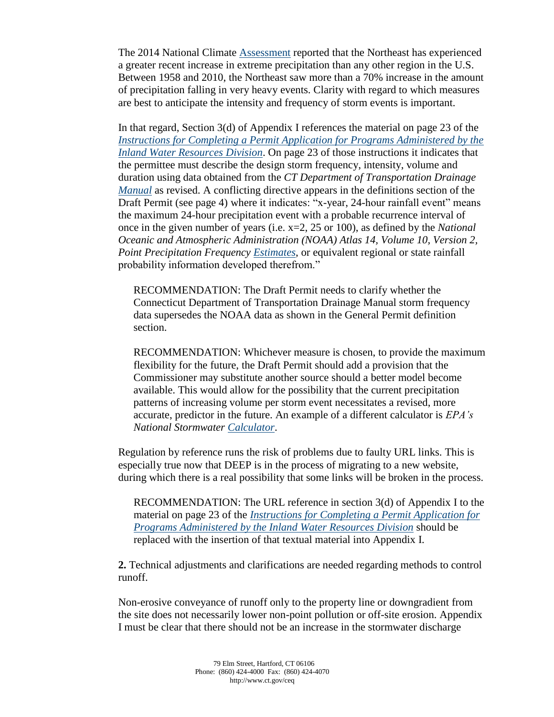The 2014 National Climate [Assessment](https://nca2014.globalchange.gov/report) reported that the Northeast has experienced a greater recent increase in extreme precipitation than any other region in the U.S. Between 1958 and 2010, the Northeast saw more than a 70% increase in the amount of precipitation falling in very heavy events. Clarity with regard to which measures are best to anticipate the intensity and frequency of storm events is important.

In that regard, Section 3(d) of Appendix I references the material on page 23 of the *[Instructions for Completing a Permit Application for Programs Administered by the](http://www.ct.gov/deep/lib/deep/Permits_and_Licenses/Land_Use_Permits/Inland_Water_Permits/IWRD_inst.pdf)  [Inland Water Resources Division](http://www.ct.gov/deep/lib/deep/Permits_and_Licenses/Land_Use_Permits/Inland_Water_Permits/IWRD_inst.pdf)*. On page 23 of those instructions it indicates that the permittee must describe the design storm frequency, intensity, volume and duration using data obtained from the *CT Department of Transportation Drainage [Manual](https://portal.ct.gov/DOT/Hydraulics-and-Drainage/Drainage-Manual)* as revised. A conflicting directive appears in the definitions section of the Draft Permit (see page 4) where it indicates: "x-year, 24-hour rainfall event" means the maximum 24-hour precipitation event with a probable recurrence interval of once in the given number of years (i.e. x=2, 25 or 100), as defined by the *National Oceanic and Atmospheric Administration (NOAA) Atlas 14, Volume 10, Version 2, Point Precipitation Frequency [Estimates](https://hdsc.nws.noaa.gov/hdsc/pfds/pfds_map_cont.html?bkmrk=ct)*, or equivalent regional or state rainfall probability information developed therefrom."

RECOMMENDATION: The Draft Permit needs to clarify whether the Connecticut Department of Transportation Drainage Manual storm frequency data supersedes the NOAA data as shown in the General Permit definition section.

RECOMMENDATION: Whichever measure is chosen, to provide the maximum flexibility for the future, the Draft Permit should add a provision that the Commissioner may substitute another source should a better model become available. This would allow for the possibility that the current precipitation patterns of increasing volume per storm event necessitates a revised, more accurate, predictor in the future. An example of a different calculator is *EPA's National Stormwater [Calculator](https://www.epa.gov/water-research/national-stormwater-calculator)*.

Regulation by reference runs the risk of problems due to faulty URL links. This is especially true now that DEEP is in the process of migrating to a new website, during which there is a real possibility that some links will be broken in the process.

RECOMMENDATION: The URL reference in section 3(d) of Appendix I to the material on page 23 of the *[Instructions for Completing a Permit Application for](http://www.ct.gov/deep/lib/deep/Permits_and_Licenses/Land_Use_Permits/Inland_Water_Permits/IWRD_inst.pdf)  [Programs Administered by the Inland Water Resources Division](http://www.ct.gov/deep/lib/deep/Permits_and_Licenses/Land_Use_Permits/Inland_Water_Permits/IWRD_inst.pdf)* should be replaced with the insertion of that textual material into Appendix I.

**2.** Technical adjustments and clarifications are needed regarding methods to control runoff.

Non-erosive conveyance of runoff only to the property line or downgradient from the site does not necessarily lower non-point pollution or off-site erosion. Appendix I must be clear that there should not be an increase in the stormwater discharge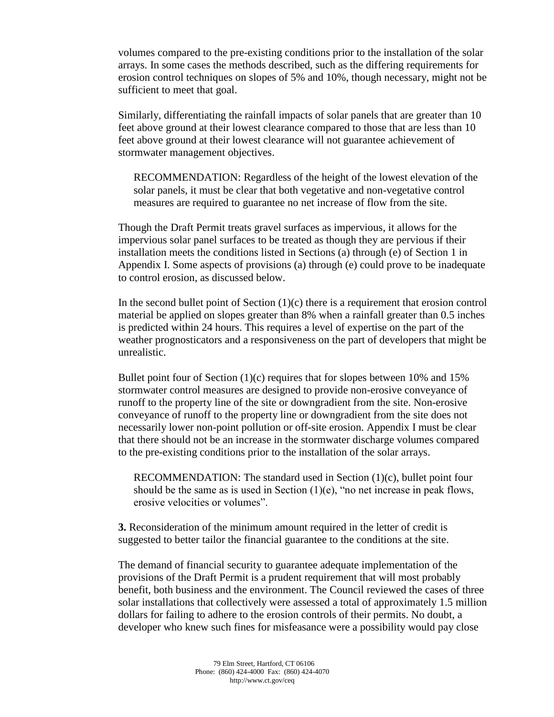volumes compared to the pre-existing conditions prior to the installation of the solar arrays. In some cases the methods described, such as the differing requirements for erosion control techniques on slopes of 5% and 10%, though necessary, might not be sufficient to meet that goal.

Similarly, differentiating the rainfall impacts of solar panels that are greater than 10 feet above ground at their lowest clearance compared to those that are less than 10 feet above ground at their lowest clearance will not guarantee achievement of stormwater management objectives.

RECOMMENDATION: Regardless of the height of the lowest elevation of the solar panels, it must be clear that both vegetative and non-vegetative control measures are required to guarantee no net increase of flow from the site.

Though the Draft Permit treats gravel surfaces as impervious, it allows for the impervious solar panel surfaces to be treated as though they are pervious if their installation meets the conditions listed in Sections (a) through (e) of Section 1 in Appendix I. Some aspects of provisions (a) through (e) could prove to be inadequate to control erosion, as discussed below.

In the second bullet point of Section  $(1)(c)$  there is a requirement that erosion control material be applied on slopes greater than 8% when a rainfall greater than 0.5 inches is predicted within 24 hours. This requires a level of expertise on the part of the weather prognosticators and a responsiveness on the part of developers that might be unrealistic.

Bullet point four of Section (1)(c) requires that for slopes between 10% and 15% stormwater control measures are designed to provide non-erosive conveyance of runoff to the property line of the site or downgradient from the site. Non-erosive conveyance of runoff to the property line or downgradient from the site does not necessarily lower non-point pollution or off-site erosion. Appendix I must be clear that there should not be an increase in the stormwater discharge volumes compared to the pre-existing conditions prior to the installation of the solar arrays.

RECOMMENDATION: The standard used in Section (1)(c), bullet point four should be the same as is used in Section  $(1)(e)$ , "no net increase in peak flows, erosive velocities or volumes".

**3.** Reconsideration of the minimum amount required in the letter of credit is suggested to better tailor the financial guarantee to the conditions at the site.

The demand of financial security to guarantee adequate implementation of the provisions of the Draft Permit is a prudent requirement that will most probably benefit, both business and the environment. The Council reviewed the cases of three solar installations that collectively were assessed a total of approximately 1.5 million dollars for failing to adhere to the erosion controls of their permits. No doubt, a developer who knew such fines for misfeasance were a possibility would pay close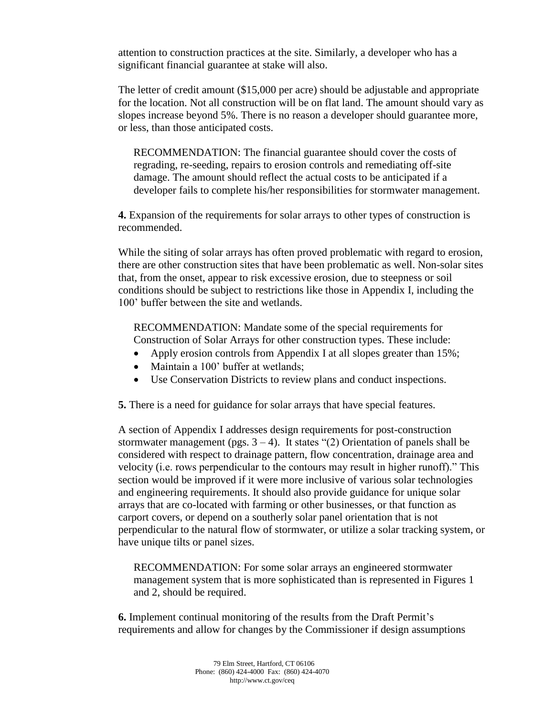attention to construction practices at the site. Similarly, a developer who has a significant financial guarantee at stake will also.

The letter of credit amount (\$15,000 per acre) should be adjustable and appropriate for the location. Not all construction will be on flat land. The amount should vary as slopes increase beyond 5%. There is no reason a developer should guarantee more, or less, than those anticipated costs.

RECOMMENDATION: The financial guarantee should cover the costs of regrading, re-seeding, repairs to erosion controls and remediating off-site damage. The amount should reflect the actual costs to be anticipated if a developer fails to complete his/her responsibilities for stormwater management.

**4.** Expansion of the requirements for solar arrays to other types of construction is recommended.

While the siting of solar arrays has often proved problematic with regard to erosion, there are other construction sites that have been problematic as well. Non-solar sites that, from the onset, appear to risk excessive erosion, due to steepness or soil conditions should be subject to restrictions like those in Appendix I, including the 100' buffer between the site and wetlands.

RECOMMENDATION: Mandate some of the special requirements for Construction of Solar Arrays for other construction types. These include:

- Apply erosion controls from Appendix I at all slopes greater than 15%;
- Maintain a 100' buffer at wetlands;
- Use Conservation Districts to review plans and conduct inspections.

**5.** There is a need for guidance for solar arrays that have special features.

A section of Appendix I addresses design requirements for post-construction stormwater management (pgs.  $3 - 4$ ). It states "(2) Orientation of panels shall be considered with respect to drainage pattern, flow concentration, drainage area and velocity (i.e. rows perpendicular to the contours may result in higher runoff)." This section would be improved if it were more inclusive of various solar technologies and engineering requirements. It should also provide guidance for unique solar arrays that are co-located with farming or other businesses, or that function as carport covers, or depend on a southerly solar panel orientation that is not perpendicular to the natural flow of stormwater, or utilize a solar tracking system, or have unique tilts or panel sizes.

RECOMMENDATION: For some solar arrays an engineered stormwater management system that is more sophisticated than is represented in Figures 1 and 2, should be required.

**6.** Implement continual monitoring of the results from the Draft Permit's requirements and allow for changes by the Commissioner if design assumptions